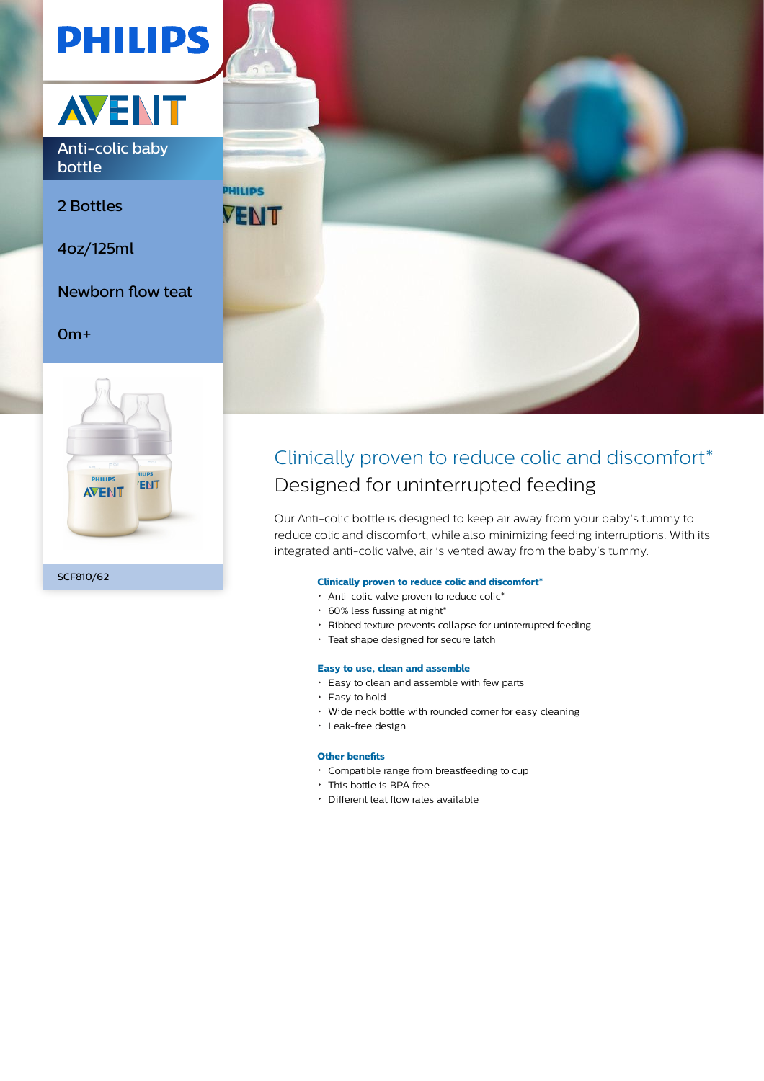



Anti-colic baby bottle

2 Bottles

4oz/125ml

Newborn flow teat

### 0m+





## Clinically proven to reduce colic and discomfort\* Designed for uninterrupted feeding

Our Anti-colic bottle is designed to keep air away from your baby's tummy to reduce colic and discomfort, while also minimizing feeding interruptions. With its integrated anti-colic valve, air is vented away from the baby's tummy.

#### **Clinically proven to reduce colic and discomfort\***

- Anti-colic valve proven to reduce colic\*
- $\cdot$  60% less fussing at night\*
- Ribbed texture prevents collapse for uninterrupted feeding
- Teat shape designed for secure latch

#### **Easy to use, clean and assemble**

- Easy to clean and assemble with few parts
- Easy to hold
- Wide neck bottle with rounded corner for easy cleaning
- Leak-free design

#### **Other benefits**

- Compatible range from breastfeeding to cup
- This bottle is BPA free
- Different teat flow rates available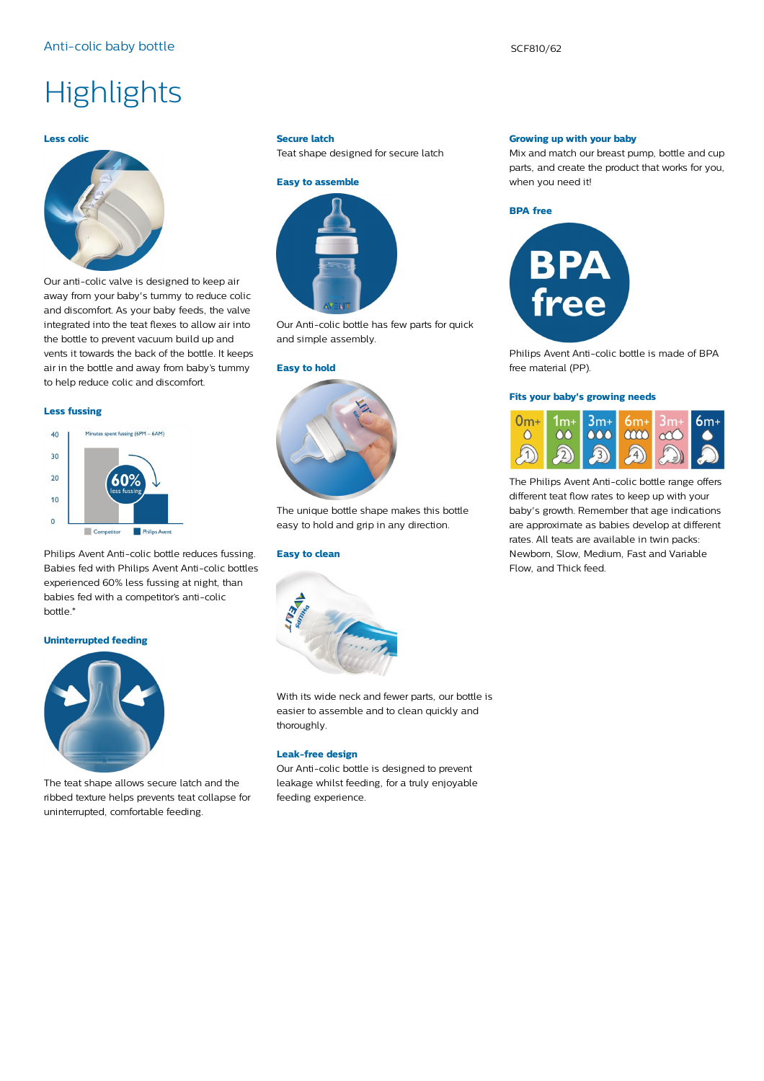# **Highlights**

#### **Less colic**



Our anti-colic valve is designed to keep air away from your baby's tummy to reduce colic and discomfort. As your baby feeds, the valve integrated into the teat flexes to allow air into the bottle to prevent vacuum build up and vents it towards the back of the bottle. It keeps air in the bottle and away from baby's tummy to help reduce colic and discomfort.

#### **Less fussing**

#### Minutes spent fussing (6PM - 6AM)  $40$  $30$  $20$  $10$  $\Omega$  $\Box$  Co **Philips Avent**

Philips Avent Anti-colic bottle reduces fussing. Babies fed with Philips Avent Anti-colic bottles experienced 60% less fussing at night, than babies fed with a competitor's anti-colic bottle.\*

#### **Uninterrupted feeding**



The teat shape allows secure latch and the ribbed texture helps prevents teat collapse for uninterrupted, comfortable feeding.

#### **Secure latch**

Teat shape designed for secure latch



Our Anti-colic bottle has few parts for quick and simple assembly.

#### **Easy to hold**



The unique bottle shape makes this bottle easy to hold and grip in any direction.

#### **Easy to clean**



With its wide neck and fewer parts, our bottle is easier to assemble and to clean quickly and thoroughly.

#### **Leak-free design**

Our Anti-colic bottle is designed to prevent leakage whilst feeding, for a truly enjoyable feeding experience.

#### **Growing up with your baby**

Mix and match our breast pump, bottle and cup parts, and create the product that works for you, when you need it!





Philips Avent Anti-colic bottle is made of BPA free material (PP).

#### **Fits your baby's growing needs**



The Philips Avent Anti-colic bottle range offers different teat flow rates to keep up with your baby's growth. Remember that age indications are approximate as babies develop at different rates. All teats are available in twin packs: Newborn, Slow, Medium, Fast and Variable Flow, and Thick feed.